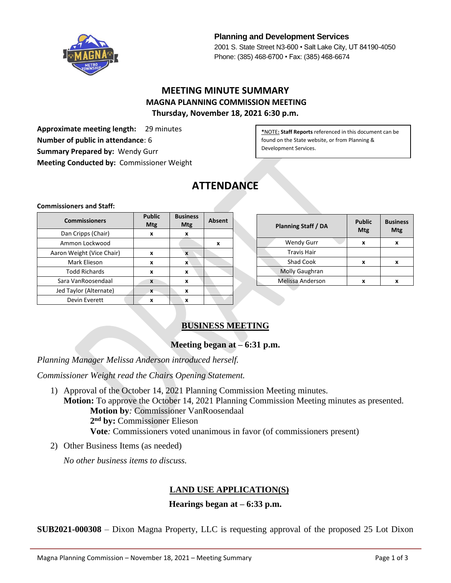

**Planning and Development Services** 2001 S. State Street N3-600 • Salt Lake City, UT 84190-4050 Phone: (385) 468-6700 • Fax: (385) 468-6674

# **MEETING MINUTE SUMMARY MAGNA PLANNING COMMISSION MEETING Thursday, November 18, 2021 6:30 p.m.**

**Approximate meeting length:** 29 minutes **Number of public in attendance**: 6 **Summary Prepared by:** Wendy Gurr **Meeting Conducted by:** Commissioner Weight

**\***NOTE**: Staff Reports** referenced in this document can be found on the State website, or from Planning & Development Services.

# **ATTENDANCE**

#### **Commissioners and Staff:**

| <b>Commissioners</b>      | <b>Public</b><br>Mtg | <b>Business</b><br><b>Mtg</b> | <b>Absent</b> |
|---------------------------|----------------------|-------------------------------|---------------|
| Dan Cripps (Chair)        | x                    | x                             |               |
| Ammon Lockwood            |                      |                               | x             |
| Aaron Weight (Vice Chair) | x                    | X                             |               |
| Mark Elieson              | x                    | X                             |               |
| <b>Todd Richards</b>      | x                    | x                             |               |
| Sara VanRoosendaal        | X                    | X                             |               |
| Jed Taylor (Alternate)    | X                    | X                             |               |
| Devin Everett             | x                    | x                             |               |

| <b>Planning Staff / DA</b> | <b>Public</b><br>Mtg | <b>Business</b><br>Mtg |
|----------------------------|----------------------|------------------------|
| <b>Wendy Gurr</b>          | x                    | x                      |
| <b>Travis Hair</b>         |                      |                        |
| <b>Shad Cook</b>           | x                    | x                      |
| Molly Gaughran             |                      |                        |
| Melissa Anderson           | x                    | x                      |

# **BUSINESS MEETING**

#### **Meeting began at – 6:31 p.m.**

*Planning Manager Melissa Anderson introduced herself.*

*Commissioner Weight read the Chairs Opening Statement.*

- 1) Approval of the October 14, 2021 Planning Commission Meeting minutes. **Motion:** To approve the October 14, 2021 Planning Commission Meeting minutes as presented. **Motion by***:* Commissioner VanRoosendaal **2 nd by:** Commissioner Elieson **Vote***:* Commissioners voted unanimous in favor (of commissioners present)
- 2) Other Business Items (as needed)

*No other business items to discuss.*

## **LAND USE APPLICATION(S)**

#### **Hearings began at – 6:33 p.m.**

**SUB2021-000308** – Dixon Magna Property, LLC is requesting approval of the proposed 25 Lot Dixon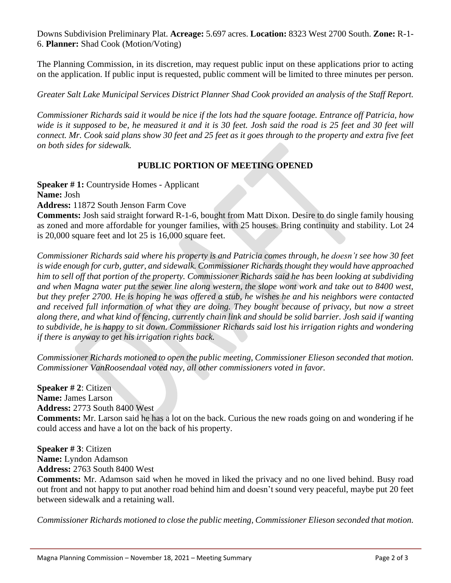Downs Subdivision Preliminary Plat. **Acreage:** 5.697 acres. **Location:** 8323 West 2700 South. **Zone:** R-1- 6. **Planner:** Shad Cook (Motion/Voting)

The Planning Commission, in its discretion, may request public input on these applications prior to acting on the application. If public input is requested, public comment will be limited to three minutes per person.

*Greater Salt Lake Municipal Services District Planner Shad Cook provided an analysis of the Staff Report.*

*Commissioner Richards said it would be nice if the lots had the square footage. Entrance off Patricia, how wide is it supposed to be, he measured it and it is 30 feet. Josh said the road is 25 feet and 30 feet will connect. Mr. Cook said plans show 30 feet and 25 feet as it goes through to the property and extra five feet on both sides for sidewalk.*

#### **PUBLIC PORTION OF MEETING OPENED**

**Speaker # 1:** Countryside Homes - Applicant

**Name:** Josh

**Address:** 11872 South Jenson Farm Cove

**Comments:** Josh said straight forward R-1-6, bought from Matt Dixon. Desire to do single family housing as zoned and more affordable for younger families, with 25 houses. Bring continuity and stability. Lot 24 is 20,000 square feet and lot 25 is 16,000 square feet.

*Commissioner Richards said where his property is and Patricia comes through, he doesn't see how 30 feet is wide enough for curb, gutter, and sidewalk. Commissioner Richards thought they would have approached him to sell off that portion of the property. Commissioner Richards said he has been looking at subdividing and when Magna water put the sewer line along western, the slope wont work and take out to 8400 west, but they prefer 2700. He is hoping he was offered a stub, he wishes he and his neighbors were contacted and received full information of what they are doing. They bought because of privacy, but now a street along there, and what kind of fencing, currently chain link and should be solid barrier. Josh said if wanting to subdivide, he is happy to sit down. Commissioner Richards said lost his irrigation rights and wondering if there is anyway to get his irrigation rights back.*

*Commissioner Richards motioned to open the public meeting, Commissioner Elieson seconded that motion. Commissioner VanRoosendaal voted nay, all other commissioners voted in favor.*

**Speaker # 2**: Citizen **Name:** James Larson **Address:** 2773 South 8400 West

**Comments:** Mr. Larson said he has a lot on the back. Curious the new roads going on and wondering if he could access and have a lot on the back of his property.

**Speaker # 3**: Citizen **Name:** Lyndon Adamson **Address:** 2763 South 8400 West

**Comments:** Mr. Adamson said when he moved in liked the privacy and no one lived behind. Busy road out front and not happy to put another road behind him and doesn't sound very peaceful, maybe put 20 feet between sidewalk and a retaining wall.

*Commissioner Richards motioned to close the public meeting, Commissioner Elieson seconded that motion.*